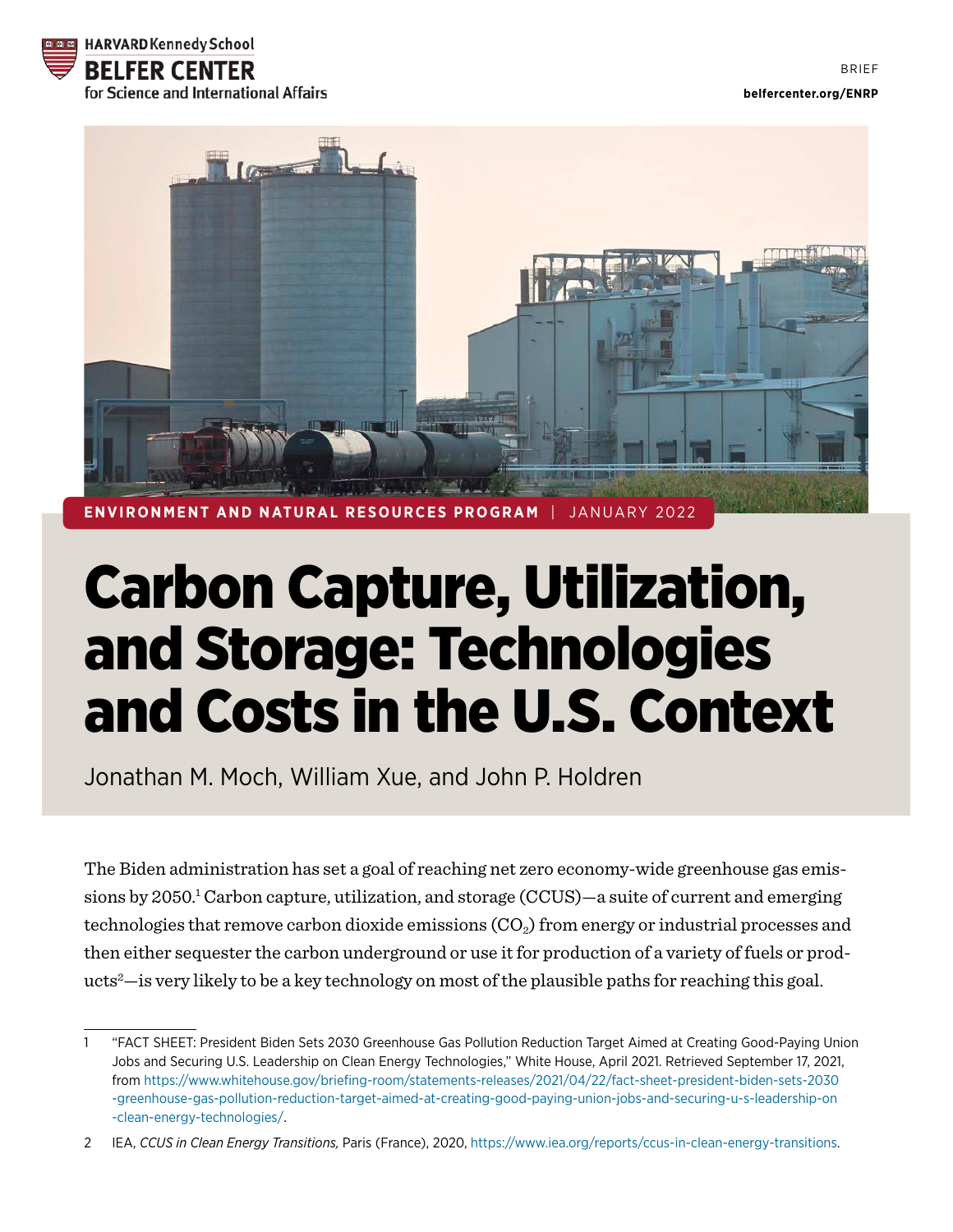



**IRONMENT AND NATURAL RESOURCES PROGRAM** 

# Carbon Capture, Utilization, and Storage: Technologies and Costs in the U.S. Context

Jonathan M. Moch, William Xue, and John P. Holdren

The Biden administration has set a goal of reaching net zero economy-wide greenhouse gas emissions by 2050.<sup>1</sup> Carbon capture, utilization, and storage (CCUS)—a suite of current and emerging technologies that remove carbon dioxide emissions  $(CO<sub>2</sub>)$  from energy or industrial processes and then either sequester the carbon underground or use it for production of a variety of fuels or products2 —is very likely to be a key technology on most of the plausible paths for reaching this goal.

<sup>1</sup> "FACT SHEET: President Biden Sets 2030 Greenhouse Gas Pollution Reduction Target Aimed at Creating Good-Paying Union Jobs and Securing U.S. Leadership on Clean Energy Technologies," White House, April 2021. Retrieved September 17, 2021, from [https://www.whitehouse.gov/briefing-room/statements-releases/2021/04/22/fact-sheet-president-biden-sets-2030](https://www.whitehouse.gov/briefing-room/statements-releases/2021/04/22/fact-sheet-president-biden-sets-2030-greenhouse-gas-pollution-reduction-target-aimed-at-creating-good-paying-union-jobs-and-securing-u-s-leadership-on-clean-energy-technologies/)  [-greenhouse-gas-pollution-reduction-target-aimed-at-creating-good-paying-union-jobs-and-securing-u-s-leadership-on](https://www.whitehouse.gov/briefing-room/statements-releases/2021/04/22/fact-sheet-president-biden-sets-2030-greenhouse-gas-pollution-reduction-target-aimed-at-creating-good-paying-union-jobs-and-securing-u-s-leadership-on-clean-energy-technologies/) [-clean-energy-technologies/](https://www.whitehouse.gov/briefing-room/statements-releases/2021/04/22/fact-sheet-president-biden-sets-2030-greenhouse-gas-pollution-reduction-target-aimed-at-creating-good-paying-union-jobs-and-securing-u-s-leadership-on-clean-energy-technologies/).

<sup>2</sup> IEA, *CCUS in Clean Energy Transitions,* Paris (France), 2020, [https://www.iea.org/reports/ccus-in-clean-energy-transitions.](https://www.iea.org/reports/ccus-in-clean-energy-transitions)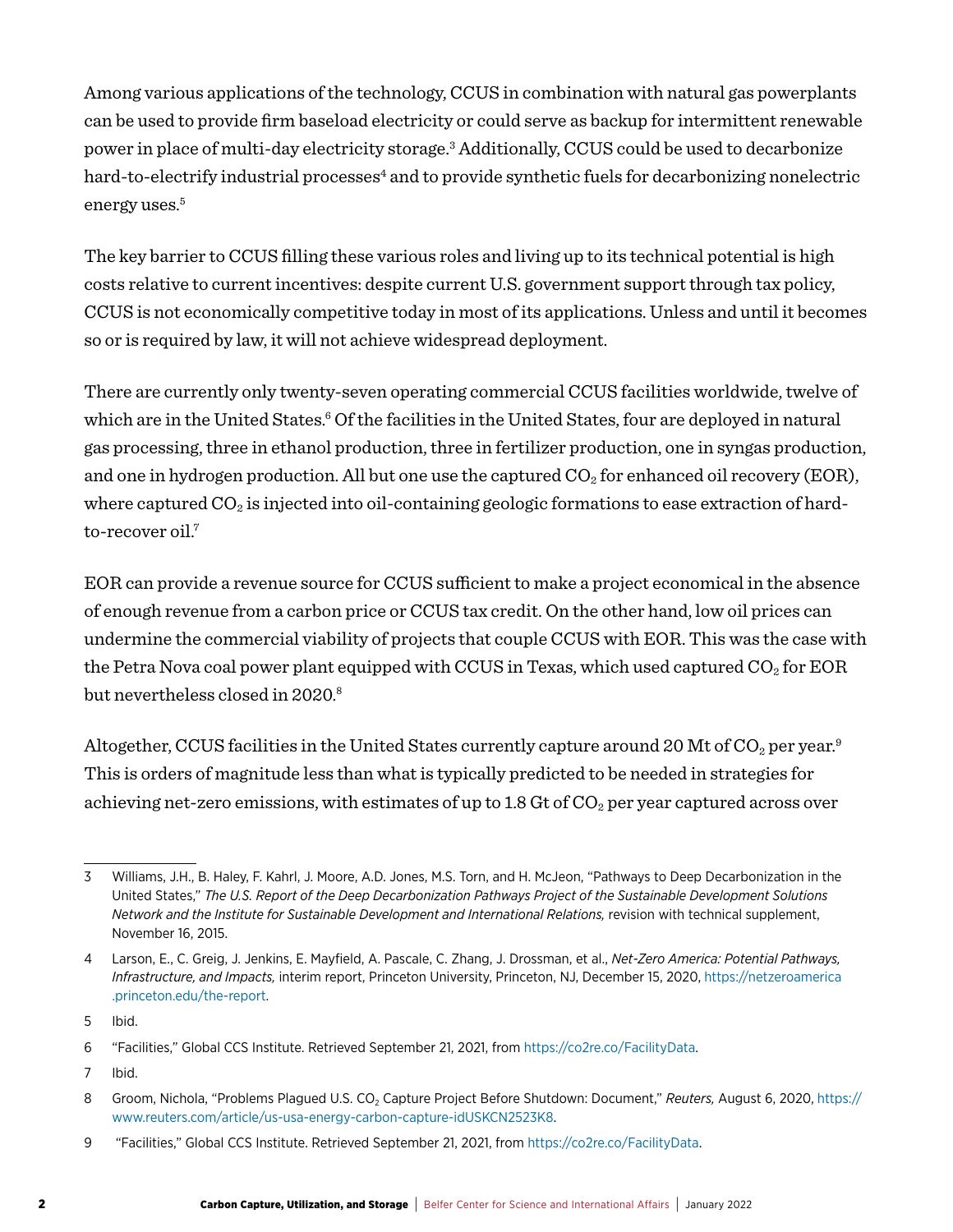Among various applications of the technology, CCUS in combination with natural gas powerplants can be used to provide firm baseload electricity or could serve as backup for intermittent renewable power in place of multi-day electricity storage.3 Additionally, CCUS could be used to decarbonize hard-to-electrify industrial processes<sup>4</sup> and to provide synthetic fuels for decarbonizing nonelectric energy uses.<sup>5</sup>

The key barrier to CCUS filling these various roles and living up to its technical potential is high costs relative to current incentives: despite current U.S. government support through tax policy, CCUS is not economically competitive today in most of its applications. Unless and until it becomes so or is required by law, it will not achieve widespread deployment.

There are currently only twenty-seven operating commercial CCUS facilities worldwide, twelve of which are in the United States.<sup>6</sup> Of the facilities in the United States, four are deployed in natural gas processing, three in ethanol production, three in fertilizer production, one in syngas production, and one in hydrogen production. All but one use the captured  $CO<sub>2</sub>$  for enhanced oil recovery (EOR), where captured  $CO<sub>2</sub>$  is injected into oil-containing geologic formations to ease extraction of hardto-recover oil.<sup>7</sup>

EOR can provide a revenue source for CCUS sufficient to make a project economical in the absence of enough revenue from a carbon price or CCUS tax credit. On the other hand, low oil prices can undermine the commercial viability of projects that couple CCUS with EOR. This was the case with the Petra Nova coal power plant equipped with CCUS in Texas, which used captured  $CO_2$  for EOR but nevertheless closed in 2020.<sup>8</sup>

Altogether, CCUS facilities in the United States currently capture around 20 Mt of  $CO<sub>2</sub>$  per year.<sup>9</sup> This is orders of magnitude less than what is typically predicted to be needed in strategies for achieving net-zero emissions, with estimates of up to 1.8 Gt of  $CO<sub>2</sub>$  per year captured across over

7 Ibid.

<sup>3</sup> Williams, J.H., B. Haley, F. Kahrl, J. Moore, A.D. Jones, M.S. Torn, and H. McJeon, "Pathways to Deep Decarbonization in the United States," *The U.S. Report of the Deep Decarbonization Pathways Project of the Sustainable Development Solutions Network and the Institute for Sustainable Development and International Relations, revision with technical supplement,* November 16, 2015.

<sup>4</sup> Larson, E., C. Greig, J. Jenkins, E. Mayfield, A. Pascale, C. Zhang, J. Drossman, et al., *Net-Zero America: Potential Pathways, Infrastructure, and Impacts,* interim report, Princeton University, Princeton, NJ, December 15, 2020, [https://netzeroamerica](https://netzeroamerica.princeton.edu/the-report) [.princeton.edu/the-report.](https://netzeroamerica.princeton.edu/the-report)

<sup>5</sup> Ibid.

<sup>6</sup> "Facilities," Global CCS Institute. Retrieved September 21, 2021, from [https://co2re.co/FacilityData.](https://co2re.co/FacilityData)

<sup>8</sup> Groom, Nichola, "Problems Plagued U.S. CO<sub>2</sub> Capture Project Before Shutdown: Document," *Reuters, August 6, 2020, [https://](https://www.reuters.com/article/us-usa-energy-carbon-capture-idUSKCN2523K8)* [www.reuters.com/article/us-usa-energy-carbon-capture-idUSKCN2523K8.](https://www.reuters.com/article/us-usa-energy-carbon-capture-idUSKCN2523K8)

<sup>9 &</sup>quot;Facilities," Global CCS Institute. Retrieved September 21, 2021, from<https://co2re.co/FacilityData>.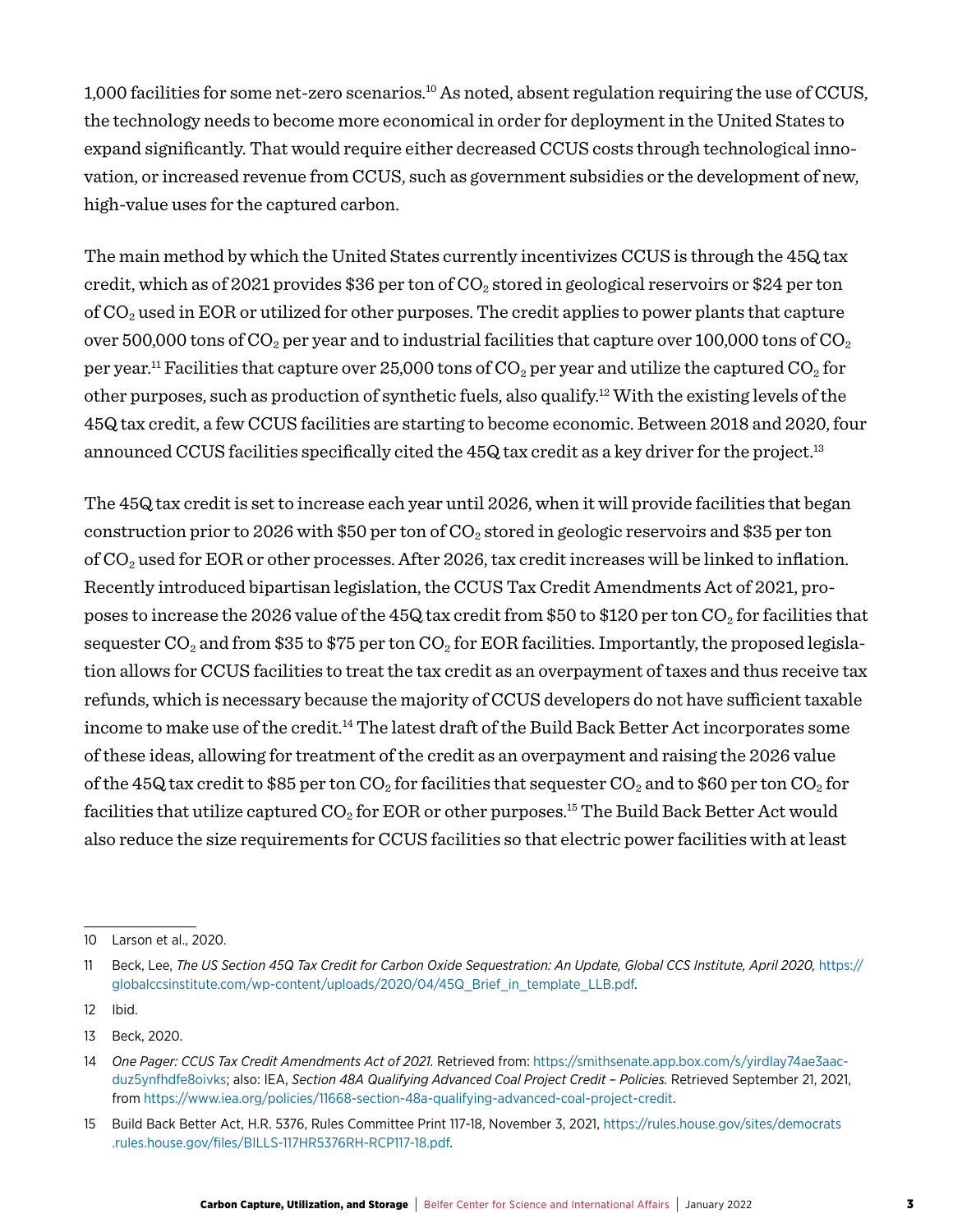1,000 facilities for some net-zero scenarios.10 As noted, absent regulation requiring the use of CCUS, the technology needs to become more economical in order for deployment in the United States to expand significantly. That would require either decreased CCUS costs through technological innovation, or increased revenue from CCUS, such as government subsidies or the development of new, high-value uses for the captured carbon.

The main method by which the United States currently incentivizes CCUS is through the 45Q tax credit, which as of 2021 provides \$36 per ton of  $CO_2$  stored in geological reservoirs or \$24 per ton of  $CO<sub>2</sub>$  used in EOR or utilized for other purposes. The credit applies to power plants that capture over 500,000 tons of  $CO_2$  per year and to industrial facilities that capture over 100,000 tons of  $CO_2$ per year.<sup>11</sup> Facilities that capture over 25,000 tons of  $CO_2$  per year and utilize the captured  $CO_2$  for other purposes, such as production of synthetic fuels, also qualify.12 With the existing levels of the 45Q tax credit, a few CCUS facilities are starting to become economic. Between 2018 and 2020, four announced CCUS facilities specifically cited the 45Q tax credit as a key driver for the project.<sup>13</sup>

The 45Q tax credit is set to increase each year until 2026, when it will provide facilities that began construction prior to 2026 with \$50 per ton of  $CO_2$  stored in geologic reservoirs and \$35 per ton of CO2 used for EOR or other processes. After 2026, tax credit increases will be linked to inflation. Recently introduced bipartisan legislation, the CCUS Tax Credit Amendments Act of 2021, proposes to increase the 2026 value of the 45Q tax credit from \$50 to \$120 per ton  $CO_2$  for facilities that sequester  $CO_2$  and from \$35 to \$75 per ton  $CO_2$  for EOR facilities. Importantly, the proposed legislation allows for CCUS facilities to treat the tax credit as an overpayment of taxes and thus receive tax refunds, which is necessary because the majority of CCUS developers do not have sufficient taxable income to make use of the credit.<sup>14</sup> The latest draft of the Build Back Better Act incorporates some of these ideas, allowing for treatment of the credit as an overpayment and raising the 2026 value of the 45Q tax credit to \$85 per ton  $CO_2$  for facilities that sequester  $CO_2$  and to \$60 per ton  $CO_2$  for facilities that utilize captured  $CO<sub>2</sub>$  for EOR or other purposes.<sup>15</sup> The Build Back Better Act would also reduce the size requirements for CCUS facilities so that electric power facilities with at least

<sup>10</sup> Larson et al., 2020.

<sup>11</sup> Beck, Lee, The US Section 45Q Tax Credit for Carbon Oxide Sequestration: An Update, Global CCS Institute, April 2020, [https://](https://globalccsinstitute.com/wp-content/uploads/2020/04/45Q_Brief_in_template_LLB.pdf) [globalccsinstitute.com/wp-content/uploads/2020/04/45Q\\_Brief\\_in\\_template\\_LLB.pdf.](https://globalccsinstitute.com/wp-content/uploads/2020/04/45Q_Brief_in_template_LLB.pdf)

<sup>12</sup> Ibid.

<sup>13</sup> Beck, 2020.

<sup>14</sup> *One Pager: CCUS Tax Credit Amendments Act of 2021.* Retrieved from: [https://smithsenate.app.box.com/s/yirdlay74ae3aac](https://smithsenate.app.box.com/s/yirdlay74ae3aacduz5ynfhdfe8oivks)[duz5ynfhdfe8oivks](https://smithsenate.app.box.com/s/yirdlay74ae3aacduz5ynfhdfe8oivks); also: IEA, *Section 48A Qualifying Advanced Coal Project Credit – Policies.* Retrieved September 21, 2021, from <https://www.iea.org/policies/11668-section-48a-qualifying-advanced-coal-project-credit>.

<sup>15</sup> Build Back Better Act, H.R. 5376, Rules Committee Print 117-18, November 3, 2021, [https://rules.house.gov/sites/democrats](https://rules.house.gov/sites/democrats.rules.house.gov/files/BILLS-117HR5376RH-RCP117-18.pdf) [.rules.house.gov/files/BILLS-117HR5376RH-RCP117-18.pdf.](https://rules.house.gov/sites/democrats.rules.house.gov/files/BILLS-117HR5376RH-RCP117-18.pdf)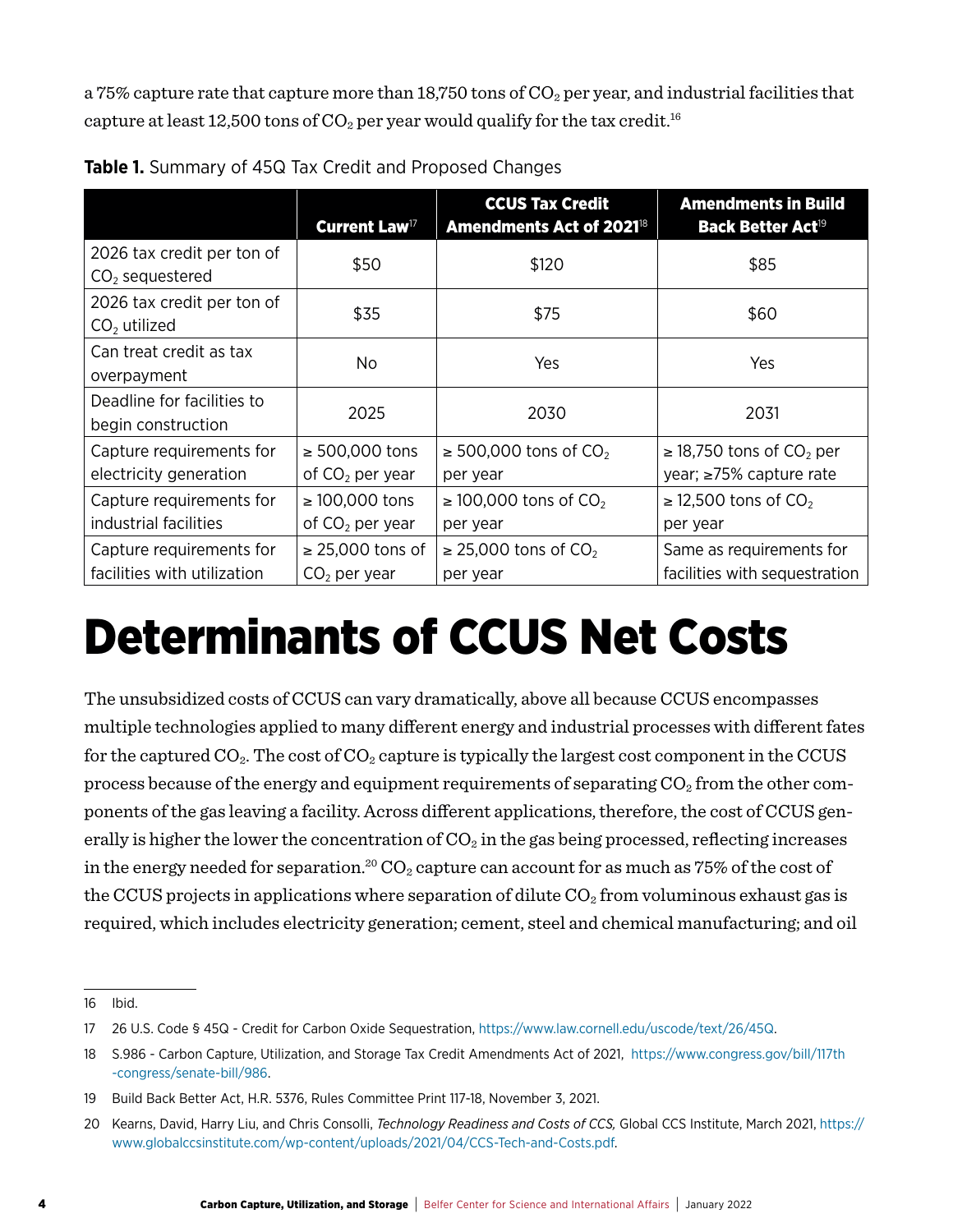a 75% capture rate that capture more than 18,750 tons of  $CO_2$  per year, and industrial facilities that capture at least 12,500 tons of  $CO_2$  per year would qualify for the tax credit.<sup>16</sup>

|                                                         | Current Law <sup>17</sup>                | <b>CCUS Tax Credit</b><br><b>Amendments Act of 2021<sup>18</sup></b> | <b>Amendments in Build</b><br>Back Better Act <sup>19</sup>          |
|---------------------------------------------------------|------------------------------------------|----------------------------------------------------------------------|----------------------------------------------------------------------|
| 2026 tax credit per ton of<br>$CO2$ sequestered         | \$50                                     | \$120                                                                | \$85                                                                 |
| 2026 tax credit per ton of<br>$CO2$ utilized            | \$35                                     | \$75                                                                 | \$60                                                                 |
| Can treat credit as tax<br>overpayment                  | No.                                      | Yes                                                                  | Yes                                                                  |
| Deadline for facilities to<br>begin construction        | 2025                                     | 2030                                                                 | 2031                                                                 |
| Capture requirements for<br>electricity generation      | ≥ 500,000 tons<br>of $CO2$ per year      | $\geq$ 500,000 tons of CO <sub>2</sub><br>per year                   | $\geq$ 18,750 tons of CO <sub>2</sub> per<br>year; ≥75% capture rate |
| Capture requirements for<br>industrial facilities       | $\geq 100,000$ tons<br>of $CO2$ per year | $\geq$ 100,000 tons of CO <sub>2</sub><br>per year                   | $\geq$ 12,500 tons of CO <sub>2</sub><br>per year                    |
| Capture requirements for<br>facilities with utilization | $\geq$ 25,000 tons of<br>$CO2$ per year  | $\geq$ 25,000 tons of CO <sub>2</sub><br>per year                    | Same as requirements for<br>facilities with sequestration            |

**Table 1.** Summary of 45Q Tax Credit and Proposed Changes

# Determinants of CCUS Net Costs

The unsubsidized costs of CCUS can vary dramatically, above all because CCUS encompasses multiple technologies applied to many different energy and industrial processes with different fates for the captured  $CO_2$ . The cost of  $CO_2$  capture is typically the largest cost component in the CCUS process because of the energy and equipment requirements of separating  $CO<sub>2</sub>$  from the other components of the gas leaving a facility. Across different applications, therefore, the cost of CCUS generally is higher the lower the concentration of  $CO<sub>2</sub>$  in the gas being processed, reflecting increases in the energy needed for separation.<sup>20</sup>  $CO<sub>2</sub>$  capture can account for as much as 75% of the cost of the CCUS projects in applications where separation of dilute  $CO<sub>2</sub>$  from voluminous exhaust gas is required, which includes electricity generation; cement, steel and chemical manufacturing; and oil

<sup>16</sup> Ibid.

<sup>17</sup> 26 U.S. Code § 45Q - Credit for Carbon Oxide Sequestration, https://www.law.cornell.edu/uscode/text/26/45Q.

<sup>18</sup> S.986 - Carbon Capture, Utilization, and Storage Tax Credit Amendments Act of 2021, https://www.congress.gov/bill/117th -congress/senate-bill/986.

<sup>19</sup> Build Back Better Act, H.R. 5376, Rules Committee Print 117-18, November 3, 2021.

<sup>20</sup> Kearns, David, Harry Liu, and Chris Consolli, *Technology Readiness and Costs of CCS,* Global CCS Institute, March 2021, [https://](https://www.globalccsinstitute.com/wp-content/uploads/2021/04/CCS-Tech-and-Costs.pdf) [www.globalccsinstitute.com/wp-content/uploads/2021/04/CCS-Tech-and-Costs.pdf.](https://www.globalccsinstitute.com/wp-content/uploads/2021/04/CCS-Tech-and-Costs.pdf)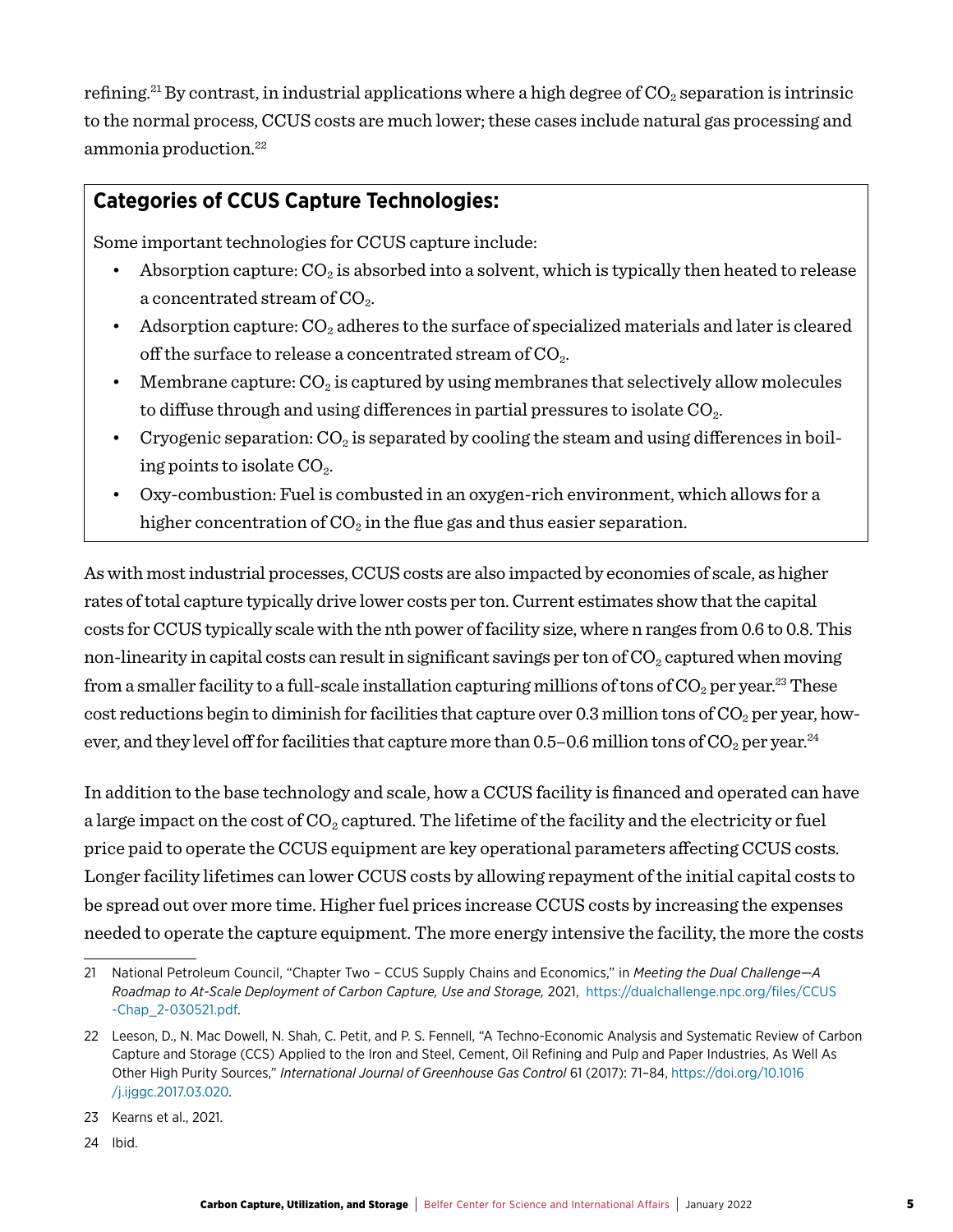refining.<sup>21</sup> By contrast, in industrial applications where a high degree of  $CO_2$  separation is intrinsic to the normal process, CCUS costs are much lower; these cases include natural gas processing and ammonia production.22

#### **Categories of CCUS Capture Technologies:**

Some important technologies for CCUS capture include:

- Absorption capture:  $CO_2$  is absorbed into a solvent, which is typically then heated to release a concentrated stream of  $CO<sub>2</sub>$ .
- Adsorption capture:  $CO<sub>2</sub>$  adheres to the surface of specialized materials and later is cleared off the surface to release a concentrated stream of  $CO<sub>2</sub>$ .
- Membrane capture:  $CO_2$  is captured by using membranes that selectively allow molecules to diffuse through and using differences in partial pressures to isolate  $CO<sub>2</sub>$ .
- Cryogenic separation:  $CO_2$  is separated by cooling the steam and using differences in boiling points to isolate  $CO<sub>2</sub>$ .
- Oxy-combustion: Fuel is combusted in an oxygen-rich environment, which allows for a higher concentration of  $CO<sub>2</sub>$  in the flue gas and thus easier separation.

As with most industrial processes, CCUS costs are also impacted by economies of scale, as higher rates of total capture typically drive lower costs per ton. Current estimates show that the capital costs for CCUS typically scale with the nth power of facility size, where n ranges from 0.6 to 0.8. This non-linearity in capital costs can result in significant savings per ton of  $CO<sub>2</sub>$  captured when moving from a smaller facility to a full-scale installation capturing millions of tons of  $CO_2$  per year.<sup>23</sup> These cost reductions begin to diminish for facilities that capture over 0.3 million tons of  $CO<sub>2</sub>$  per year, however, and they level off for facilities that capture more than 0.5–0.6 million tons of  $CO_2$  per year.<sup>24</sup>

In addition to the base technology and scale, how a CCUS facility is financed and operated can have a large impact on the cost of  $CO_2$  captured. The lifetime of the facility and the electricity or fuel price paid to operate the CCUS equipment are key operational parameters affecting CCUS costs. Longer facility lifetimes can lower CCUS costs by allowing repayment of the initial capital costs to be spread out over more time. Higher fuel prices increase CCUS costs by increasing the expenses needed to operate the capture equipment. The more energy intensive the facility, the more the costs

24 Ibid.

<sup>21</sup> National Petroleum Council, "Chapter Two – CCUS Supply Chains and Economics," in *Meeting the Dual Challenge—A Roadmap to At-Scale Deployment of Carbon Capture, Use and Storage,* 2021,[https://dualchallenge.npc.org/files/CCUS](https://dualchallenge.npc.org/files/CCUS-Chap_2-030521.pdf) [-Chap\\_2-030521.pdf.](https://dualchallenge.npc.org/files/CCUS-Chap_2-030521.pdf)

<sup>22</sup> Leeson, D., N. Mac Dowell, N. Shah, C. Petit, and P. S. Fennell, "A Techno-Economic Analysis and Systematic Review of Carbon Capture and Storage (CCS) Applied to the Iron and Steel, Cement, Oil Refining and Pulp and Paper Industries, As Well As Other High Purity Sources," *International Journal of Greenhouse Gas Control* 61 (2017): 71–84, [https://doi.org/10.1016](https://doi.org/10.1016/j.ijggc.2017.03.020) [/j.ijggc.2017.03.020.](https://doi.org/10.1016/j.ijggc.2017.03.020)

<sup>23</sup> Kearns et al., 2021.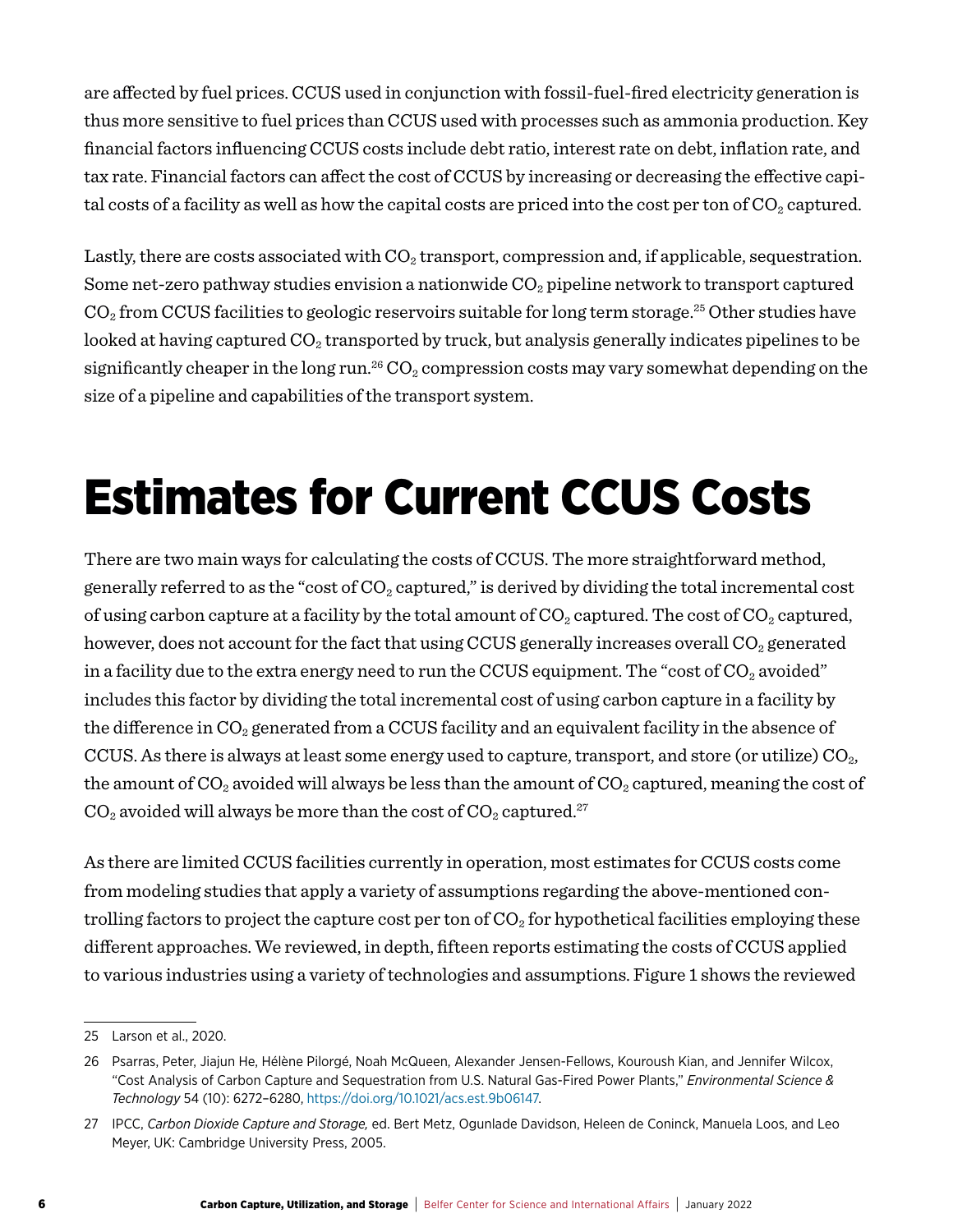are affected by fuel prices. CCUS used in conjunction with fossil-fuel-fired electricity generation is thus more sensitive to fuel prices than CCUS used with processes such as ammonia production. Key financial factors influencing CCUS costs include debt ratio, interest rate on debt, inflation rate, and tax rate. Financial factors can affect the cost of CCUS by increasing or decreasing the effective capital costs of a facility as well as how the capital costs are priced into the cost per ton of  $CO_2$  captured.

Lastly, there are costs associated with  $CO<sub>2</sub>$  transport, compression and, if applicable, sequestration. Some net-zero pathway studies envision a nationwide  $CO<sub>2</sub>$  pipeline network to transport captured  $CO<sub>2</sub>$  from CCUS facilities to geologic reservoirs suitable for long term storage.<sup>25</sup> Other studies have looked at having captured  $CO_2$  transported by truck, but analysis generally indicates pipelines to be significantly cheaper in the long run.<sup>26</sup>  $CO<sub>2</sub>$  compression costs may vary somewhat depending on the size of a pipeline and capabilities of the transport system.

# Estimates for Current CCUS Costs

There are two main ways for calculating the costs of CCUS. The more straightforward method, generally referred to as the "cost of  $CO<sub>2</sub>$  captured," is derived by dividing the total incremental cost of using carbon capture at a facility by the total amount of  $CO_2$  captured. The cost of  $CO_2$  captured, however, does not account for the fact that using CCUS generally increases overall  $CO<sub>2</sub>$  generated in a facility due to the extra energy need to run the CCUS equipment. The "cost of  $CO<sub>2</sub>$  avoided" includes this factor by dividing the total incremental cost of using carbon capture in a facility by the difference in  $CO<sub>2</sub>$  generated from a CCUS facility and an equivalent facility in the absence of CCUS. As there is always at least some energy used to capture, transport, and store (or utilize)  $CO<sub>2</sub>$ , the amount of  $CO_2$  avoided will always be less than the amount of  $CO_2$  captured, meaning the cost of  $CO<sub>2</sub>$  avoided will always be more than the cost of  $CO<sub>2</sub>$  captured.<sup>27</sup>

As there are limited CCUS facilities currently in operation, most estimates for CCUS costs come from modeling studies that apply a variety of assumptions regarding the above-mentioned controlling factors to project the capture cost per ton of  $CO<sub>2</sub>$  for hypothetical facilities employing these different approaches. We reviewed, in depth, fifteen reports estimating the costs of CCUS applied to various industries using a variety of technologies and assumptions. Figure 1 shows the reviewed

<sup>25</sup> Larson et al., 2020.

<sup>26</sup> Psarras, Peter, Jiajun He, Hélène Pilorgé, Noah McQueen, Alexander Jensen-Fellows, Kouroush Kian, and Jennifer Wilcox, "Cost Analysis of Carbon Capture and Sequestration from U.S. Natural Gas-Fired Power Plants," *Environmental Science & Technology* 54 (10): 6272–6280, [https://doi.org/10.1021/acs.est.9b06147.](https://doi.org/10.1021/acs.est.9b06147)

<sup>27</sup> IPCC, *Carbon Dioxide Capture and Storage,* ed. Bert Metz, Ogunlade Davidson, Heleen de Coninck, Manuela Loos, and Leo Meyer, UK: Cambridge University Press, 2005.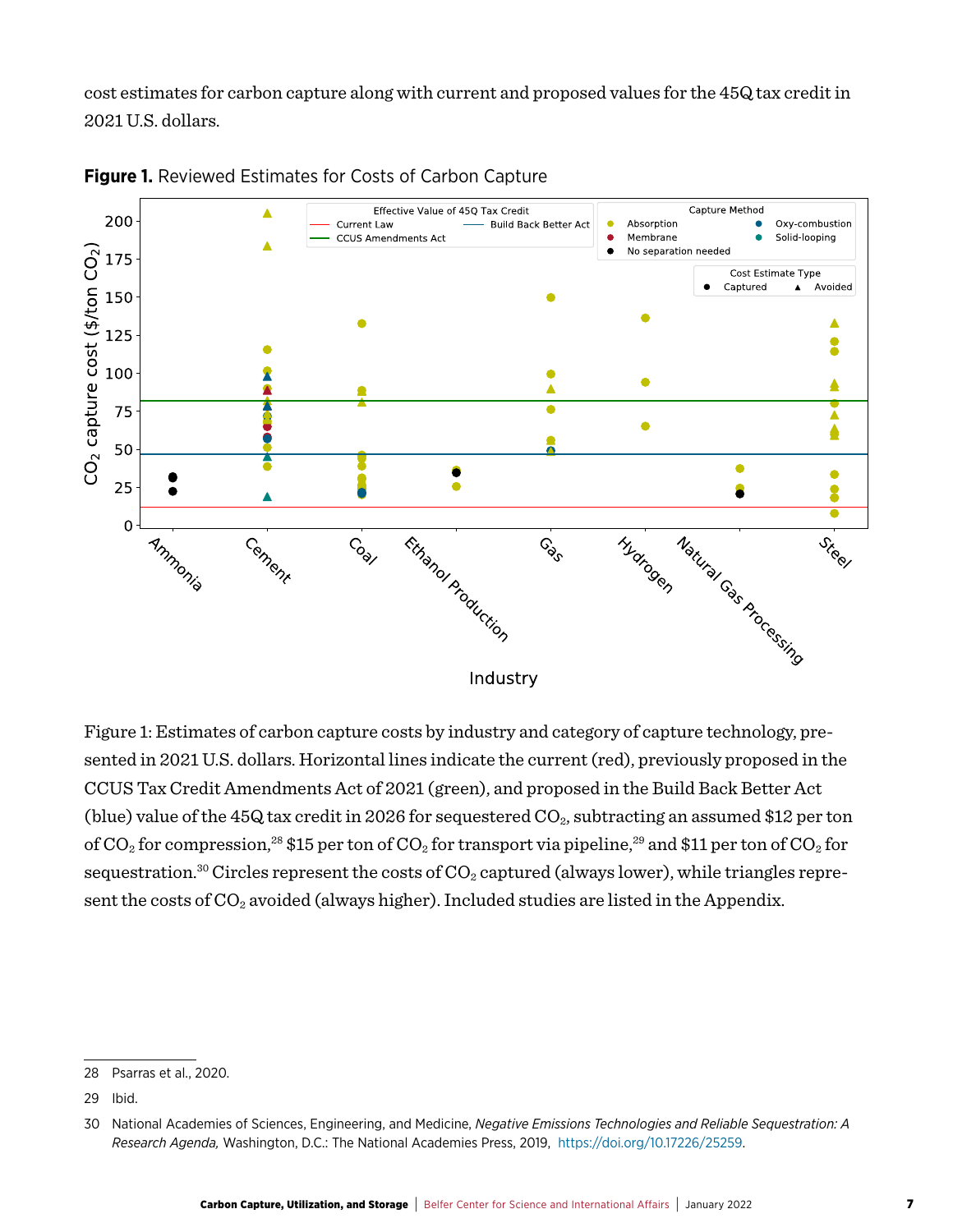cost estimates for carbon capture along with current and proposed values for the 45Q tax credit in 2021 U.S. dollars.



**Figure 1.** Reviewed Estimates for Costs of Carbon Capture

Figure 1: Estimates of carbon capture costs by industry and category of capture technology, presented in 2021 U.S. dollars. Horizontal lines indicate the current (red), previously proposed in the CCUS Tax Credit Amendments Act of 2021 (green), and proposed in the Build Back Better Act (blue) value of the 45Q tax credit in 2026 for sequestered  $CO_2$ , subtracting an assumed \$12 per ton of  $CO_2$  for compression,<sup>28</sup> \$15 per ton of  $CO_2$  for transport via pipeline,<sup>29</sup> and \$11 per ton of  $CO_2$  for sequestration.<sup>30</sup> Circles represent the costs of  $CO<sub>2</sub>$  captured (always lower), while triangles represent the costs of  $CO_2$  avoided (always higher). Included studies are listed in the Appendix.

<sup>28</sup> Psarras et al., 2020.

<sup>29</sup> Ibid.

<sup>30</sup> National Academies of Sciences, Engineering, and Medicine, *Negative Emissions Technologies and Reliable Sequestration: A Research Agenda,* Washington, D.C.: The National Academies Press, 2019, <https://doi.org/10.17226/25259>.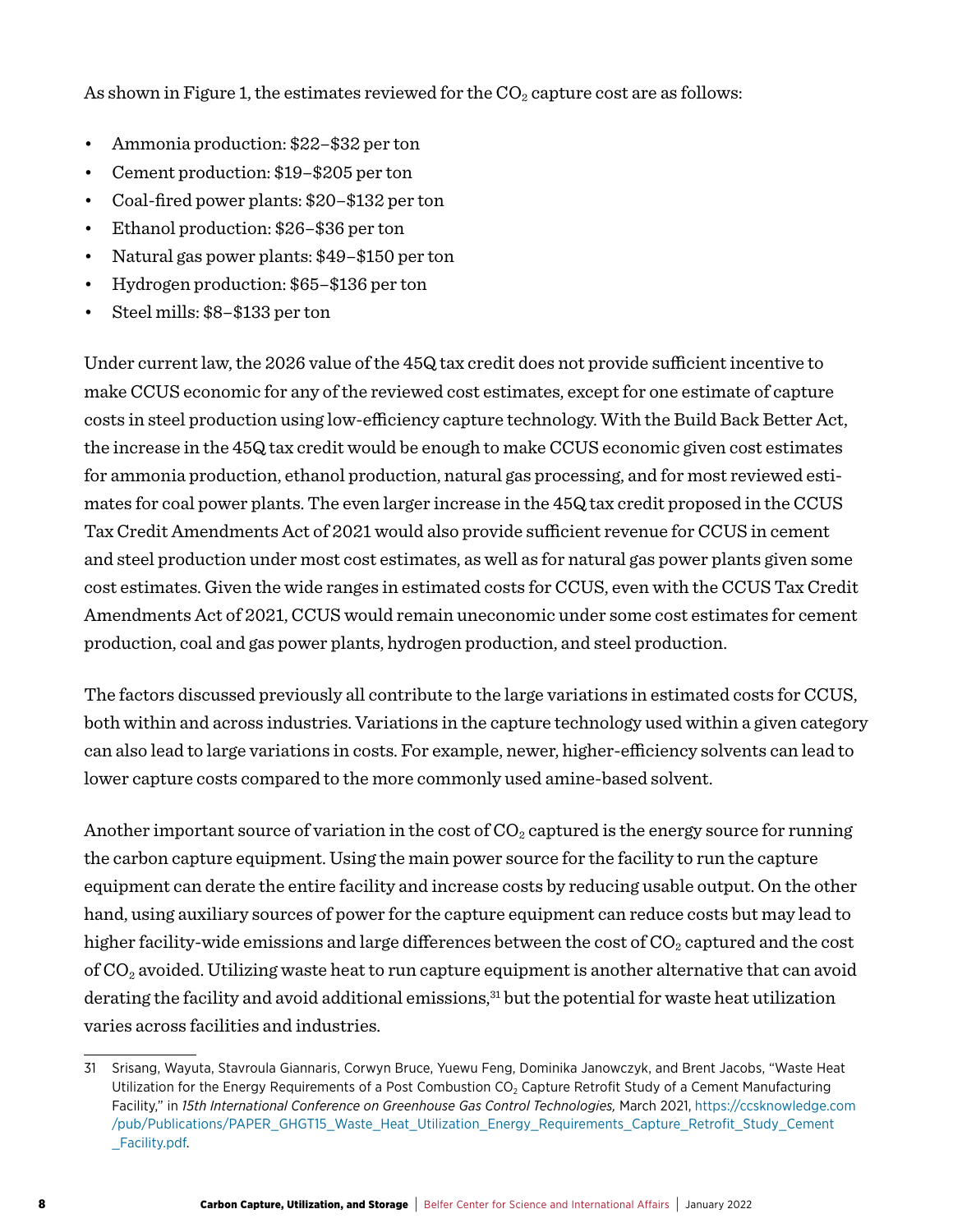As shown in Figure 1, the estimates reviewed for the  $CO<sub>2</sub>$  capture cost are as follows:

- Ammonia production: \$22–\$32 per ton
- Cement production: \$19–\$205 per ton
- Coal-fired power plants: \$20–\$132 per ton
- Ethanol production: \$26–\$36 per ton
- Natural gas power plants: \$49–\$150 per ton
- Hydrogen production: \$65–\$136 per ton
- Steel mills: \$8–\$133 per ton

Under current law, the 2026 value of the 45Q tax credit does not provide sufficient incentive to make CCUS economic for any of the reviewed cost estimates, except for one estimate of capture costs in steel production using low-efficiency capture technology. With the Build Back Better Act, the increase in the 45Q tax credit would be enough to make CCUS economic given cost estimates for ammonia production, ethanol production, natural gas processing, and for most reviewed estimates for coal power plants. The even larger increase in the 45Q tax credit proposed in the CCUS Tax Credit Amendments Act of 2021 would also provide sufficient revenue for CCUS in cement and steel production under most cost estimates, as well as for natural gas power plants given some cost estimates. Given the wide ranges in estimated costs for CCUS, even with the CCUS Tax Credit Amendments Act of 2021, CCUS would remain uneconomic under some cost estimates for cement production, coal and gas power plants, hydrogen production, and steel production.

The factors discussed previously all contribute to the large variations in estimated costs for CCUS, both within and across industries. Variations in the capture technology used within a given category can also lead to large variations in costs. For example, newer, higher-efficiency solvents can lead to lower capture costs compared to the more commonly used amine-based solvent.

Another important source of variation in the cost of  $CO<sub>2</sub>$  captured is the energy source for running the carbon capture equipment. Using the main power source for the facility to run the capture equipment can derate the entire facility and increase costs by reducing usable output. On the other hand, using auxiliary sources of power for the capture equipment can reduce costs but may lead to higher facility-wide emissions and large differences between the cost of  $CO<sub>2</sub>$  captured and the cost of  $CO<sub>2</sub>$  avoided. Utilizing waste heat to run capture equipment is another alternative that can avoid derating the facility and avoid additional emissions,<sup>31</sup> but the potential for waste heat utilization varies across facilities and industries.

<sup>31</sup> Srisang, Wayuta, Stavroula Giannaris, Corwyn Bruce, Yuewu Feng, Dominika Janowczyk, and Brent Jacobs, "Waste Heat Utilization for the Energy Requirements of a Post Combustion CO<sub>2</sub> Capture Retrofit Study of a Cement Manufacturing Facility," in *15th International Conference on Greenhouse Gas Control Technologies,* March 2021, [https://ccsknowledge.com](https://ccsknowledge.com/pub/Publications/PAPER_GHGT15_Waste_Heat_Utilization_Energy_Requirements_Capture_Retrofit_Study_Cement_Facility.pdf) [/pub/Publications/PAPER\\_GHGT15\\_Waste\\_Heat\\_Utilization\\_Energy\\_Requirements\\_Capture\\_Retrofit\\_Study\\_Cement](https://ccsknowledge.com/pub/Publications/PAPER_GHGT15_Waste_Heat_Utilization_Energy_Requirements_Capture_Retrofit_Study_Cement_Facility.pdf) [\\_Facility.pdf.](https://ccsknowledge.com/pub/Publications/PAPER_GHGT15_Waste_Heat_Utilization_Energy_Requirements_Capture_Retrofit_Study_Cement_Facility.pdf)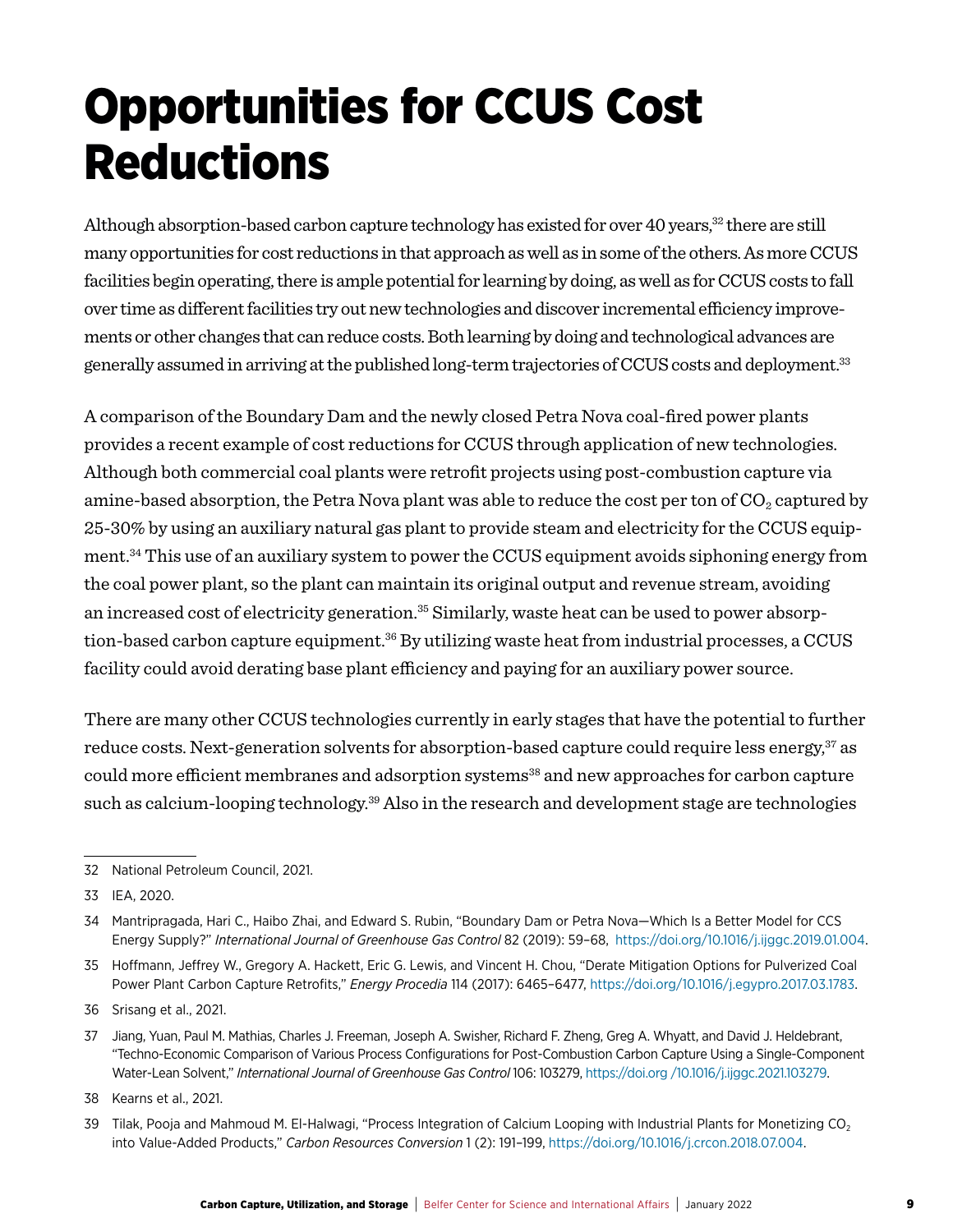### Opportunities for CCUS Cost **Reductions**

Although absorption-based carbon capture technology has existed for over 40 years,<sup>32</sup> there are still many opportunities for cost reductions in that approach as well as in some of the others. As more CCUS facilities begin operating, there is ample potential for learning by doing, as well as for CCUS costs to fall over time as different facilities try out new technologies and discover incremental efficiency improvements or other changes that can reduce costs. Both learning by doing and technological advances are generally assumed in arriving at the published long-term trajectories of CCUS costs and deployment.33

A comparison of the Boundary Dam and the newly closed Petra Nova coal-fired power plants provides a recent example of cost reductions for CCUS through application of new technologies. Although both commercial coal plants were retrofit projects using post-combustion capture via amine-based absorption, the Petra Nova plant was able to reduce the cost per ton of  $CO_2$  captured by 25-30% by using an auxiliary natural gas plant to provide steam and electricity for the CCUS equipment.34 This use of an auxiliary system to power the CCUS equipment avoids siphoning energy from the coal power plant, so the plant can maintain its original output and revenue stream, avoiding an increased cost of electricity generation.<sup>35</sup> Similarly, waste heat can be used to power absorption-based carbon capture equipment.<sup>36</sup> By utilizing waste heat from industrial processes, a CCUS facility could avoid derating base plant efficiency and paying for an auxiliary power source.

There are many other CCUS technologies currently in early stages that have the potential to further reduce costs. Next-generation solvents for absorption-based capture could require less energy,<sup>37</sup> as could more efficient membranes and adsorption systems<sup>38</sup> and new approaches for carbon capture such as calcium-looping technology.<sup>39</sup> Also in the research and development stage are technologies

35 Hoffmann, Jeffrey W., Gregory A. Hackett, Eric G. Lewis, and Vincent H. Chou, "Derate Mitigation Options for Pulverized Coal Power Plant Carbon Capture Retrofits," *Energy Procedia* 114 (2017): 6465–6477,<https://doi.org/10.1016/j.egypro.2017.03.1783>.

<sup>32</sup> National Petroleum Council, 2021.

<sup>33</sup> IEA, 2020.

<sup>34</sup> Mantripragada, Hari C., Haibo Zhai, and Edward S. Rubin, "Boundary Dam or Petra Nova—Which Is a Better Model for CCS Energy Supply?" International Journal of Greenhouse Gas Control 82 (2019): 59-68, [https://doi.org/10.1016/j.ijggc.2019.01.004.](https://doi.org/10.1016/j.ijggc.2019.01.004)

<sup>36</sup> Srisang et al., 2021.

<sup>37</sup> Jiang, Yuan, Paul M. Mathias, Charles J. Freeman, Joseph A. Swisher, Richard F. Zheng, Greg A. Whyatt, and David J. Heldebrant, "Techno-Economic Comparison of Various Process Configurations for Post-Combustion Carbon Capture Using a Single-Component Water-Lean Solvent," *International Journal of Greenhouse Gas Control* 106: 103279, [https://doi.org /10.1016/j.ijggc.2021.103279](https://doi.org/10.1016/j.ijggc.2021.103279).

<sup>38</sup> Kearns et al., 2021.

<sup>39</sup> Tilak, Pooja and Mahmoud M. El-Halwagi, "Process Integration of Calcium Looping with Industrial Plants for Monetizing CO<sub>2</sub> into Value-Added Products," *Carbon Resources Conversion* 1 (2): 191–199, <https://doi.org/10.1016/j.crcon.2018.07.004>.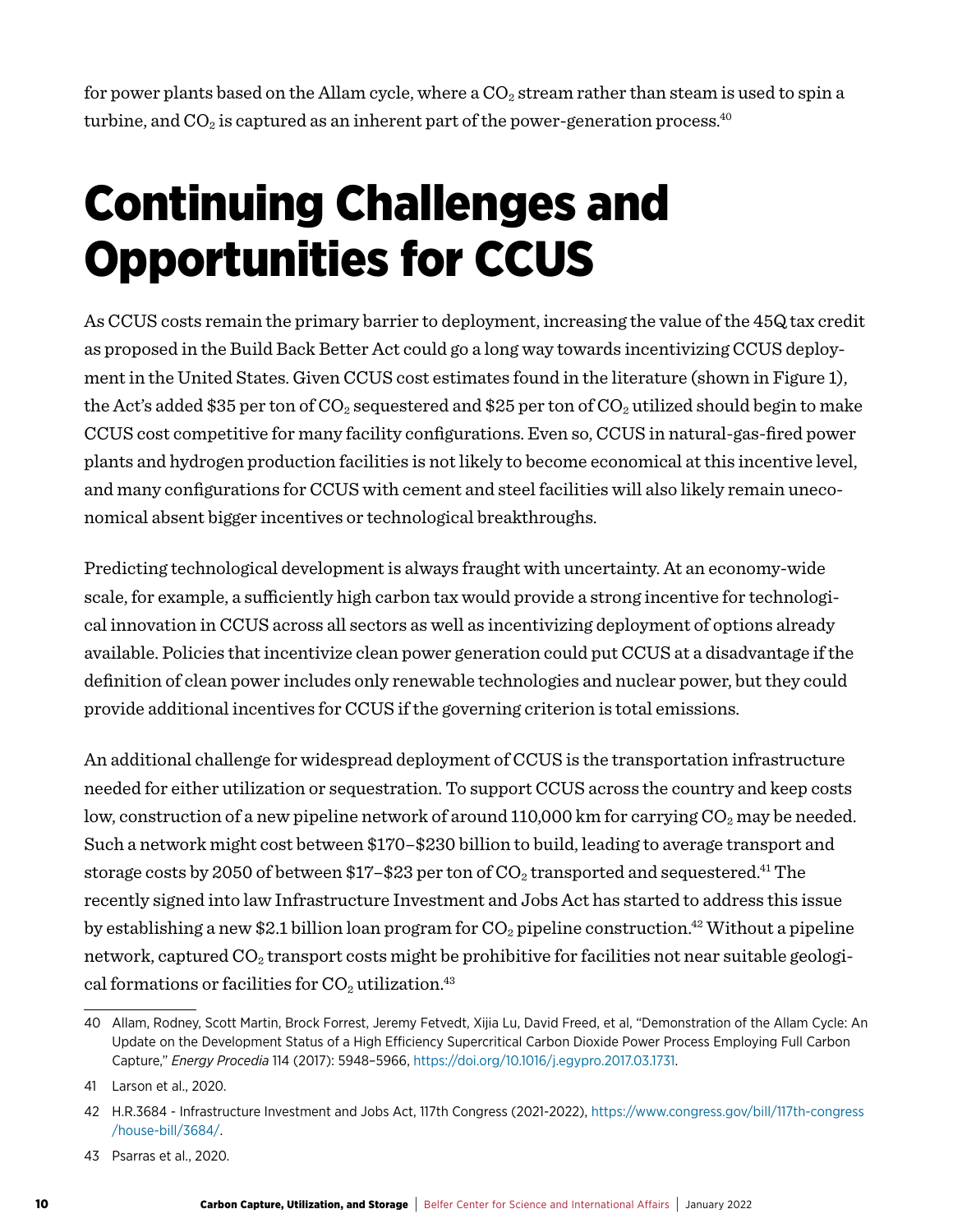for power plants based on the Allam cycle, where a  $CO<sub>2</sub>$  stream rather than steam is used to spin a turbine, and  $CO_2$  is captured as an inherent part of the power-generation process.<sup>40</sup>

### Continuing Challenges and Opportunities for CCUS

As CCUS costs remain the primary barrier to deployment, increasing the value of the 45Q tax credit as proposed in the Build Back Better Act could go a long way towards incentivizing CCUS deployment in the United States. Given CCUS cost estimates found in the literature (shown in Figure 1), the Act's added \$35 per ton of  $CO_2$  sequestered and \$25 per ton of  $CO_2$  utilized should begin to make CCUS cost competitive for many facility configurations. Even so, CCUS in natural-gas-fired power plants and hydrogen production facilities is not likely to become economical at this incentive level, and many configurations for CCUS with cement and steel facilities will also likely remain uneconomical absent bigger incentives or technological breakthroughs.

Predicting technological development is always fraught with uncertainty. At an economy-wide scale, for example, a sufficiently high carbon tax would provide a strong incentive for technological innovation in CCUS across all sectors as well as incentivizing deployment of options already available. Policies that incentivize clean power generation could put CCUS at a disadvantage if the definition of clean power includes only renewable technologies and nuclear power, but they could provide additional incentives for CCUS if the governing criterion is total emissions.

An additional challenge for widespread deployment of CCUS is the transportation infrastructure needed for either utilization or sequestration. To support CCUS across the country and keep costs low, construction of a new pipeline network of around 110,000 km for carrying  $CO<sub>2</sub>$  may be needed. Such a network might cost between \$170–\$230 billion to build, leading to average transport and storage costs by 2050 of between \$17-\$23 per ton of  $CO<sub>2</sub>$  transported and sequestered.<sup>41</sup> The recently signed into law Infrastructure Investment and Jobs Act has started to address this issue by establishing a new \$2.1 billion loan program for  $CO_2$  pipeline construction.<sup>42</sup> Without a pipeline network, captured  $CO<sub>2</sub>$  transport costs might be prohibitive for facilities not near suitable geological formations or facilities for  $CO<sub>2</sub>$  utilization.<sup>43</sup>

<sup>40</sup> Allam, Rodney, Scott Martin, Brock Forrest, Jeremy Fetvedt, Xijia Lu, David Freed, et al, "Demonstration of the Allam Cycle: An Update on the Development Status of a High Efficiency Supercritical Carbon Dioxide Power Process Employing Full Carbon Capture," *Energy Procedia* 114 (2017): 5948–5966, [https://doi.org/10.1016/j.egypro.2017.03.1731.](https://doi.org/10.1016/j.egypro.2017.03.1731)

<sup>41</sup> Larson et al., 2020.

<sup>42</sup> H.R.3684 - Infrastructure Investment and Jobs Act, 117th Congress (2021-2022), [https://www.congress.gov/bill/117th-congress](https://www.congress.gov/bill/117th-congress/house-bill/3684/)  [/house-bill/3684/](https://www.congress.gov/bill/117th-congress/house-bill/3684/).

<sup>43</sup> Psarras et al., 2020.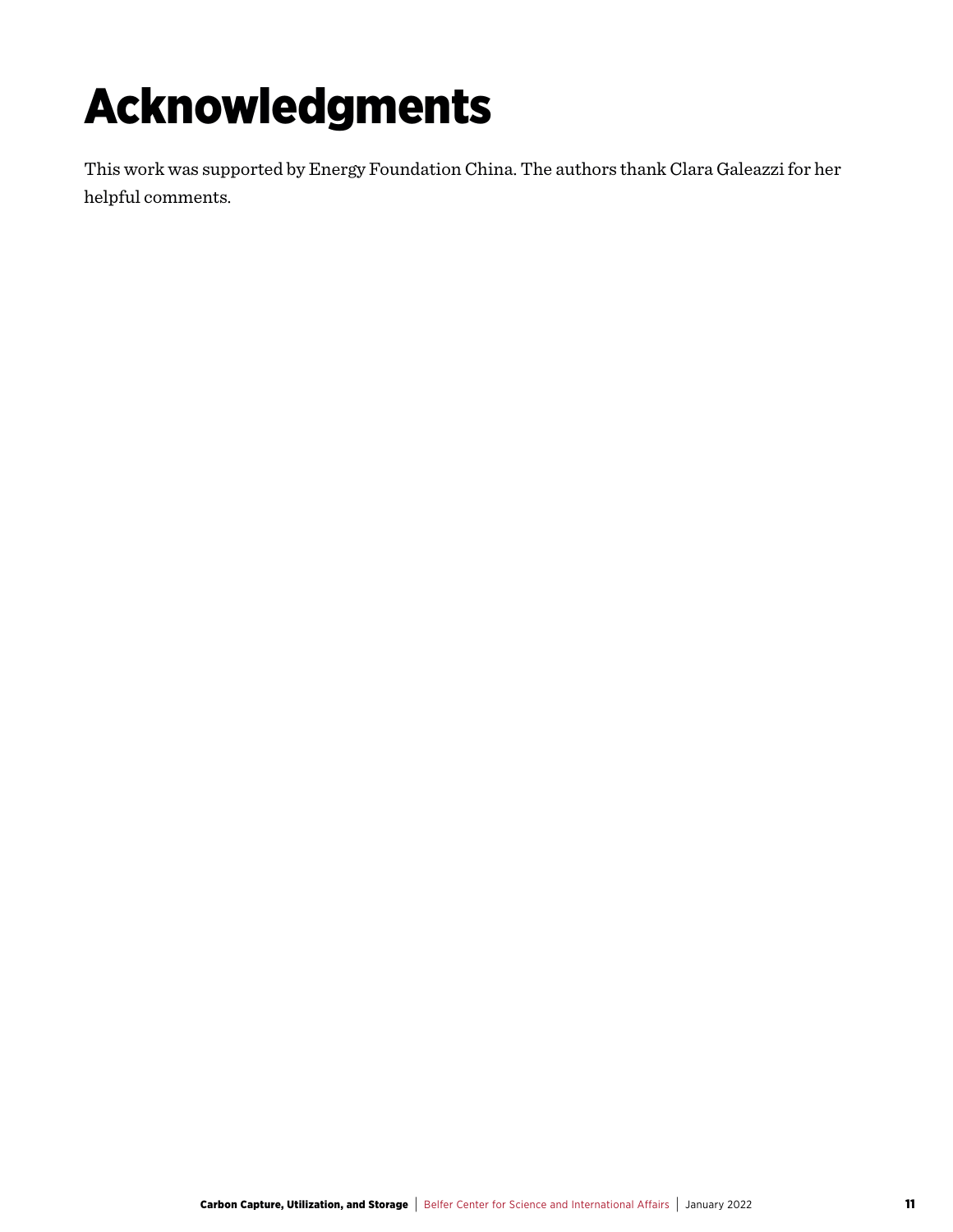# Acknowledgments

This work was supported by Energy Foundation China. The authors thank Clara Galeazzi for her helpful comments.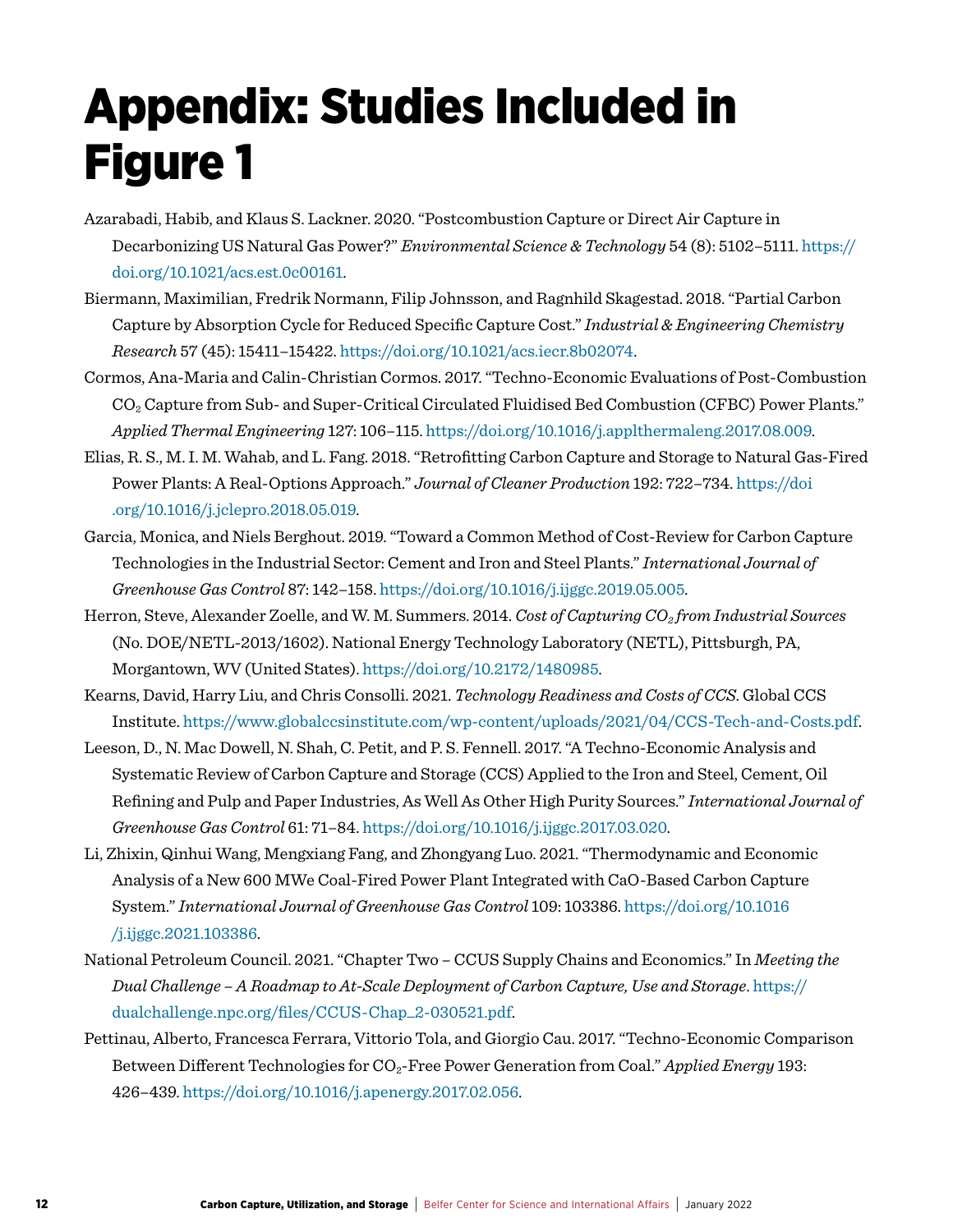### Appendix: Studies Included in Figure 1

- Azarabadi, Habib, and Klaus S. Lackner. 2020. "Postcombustion Capture or Direct Air Capture in Decarbonizing US Natural Gas Power?" *Environmental Science & Technology* 54 (8): 5102–5111. [https://](https://doi.org/10.1021/acs.est.0c00161) [doi.org/10.1021/acs.est.0c00161](https://doi.org/10.1021/acs.est.0c00161).
- Biermann, Maximilian, Fredrik Normann, Filip Johnsson, and Ragnhild Skagestad. 2018. "Partial Carbon Capture by Absorption Cycle for Reduced Specific Capture Cost." *Industrial & Engineering Chemistry Research* 57 (45): 15411–15422. <https://doi.org/10.1021/acs.iecr.8b02074>.
- Cormos, Ana-Maria and Calin-Christian Cormos. 2017. "Techno-Economic Evaluations of Post-Combustion CO2 Capture from Sub- and Super-Critical Circulated Fluidised Bed Combustion (CFBC) Power Plants." *Applied Thermal Engineering* 127: 106–115. [https://doi.org/10.1016/j.applthermaleng.2017.08.009.](https://doi.org/10.1016/j.applthermaleng.2017.08.009)
- Elias, R. S., M. I. M. Wahab, and L. Fang. 2018. "Retrofitting Carbon Capture and Storage to Natural Gas-Fired Power Plants: A Real-Options Approach." *Journal of Cleaner Production* 192: 722–734. [https://doi](https://doi.org/10.1016/j.jclepro.2018.05.019) [.org/10.1016/j.jclepro.2018.05.019.](https://doi.org/10.1016/j.jclepro.2018.05.019)
- Garcia, Monica, and Niels Berghout. 2019. "Toward a Common Method of Cost-Review for Carbon Capture Technologies in the Industrial Sector: Cement and Iron and Steel Plants." *International Journal of Greenhouse Gas Control* 87: 142–158. [https://doi.org/10.1016/j.ijggc.2019.05.005.](https://doi.org/10.1016/j.ijggc.2019.05.005)
- Herron, Steve, Alexander Zoelle, and W. M. Summers. 2014. *Cost of Capturing CO2 from Industrial Sources* (No. DOE/NETL-2013/1602). National Energy Technology Laboratory (NETL), Pittsburgh, PA, Morgantown, WV (United States). [https://doi.org/10.2172/1480985.](https://doi.org/10.2172/1480985)
- Kearns, David, Harry Liu, and Chris Consolli. 2021. *Technology Readiness and Costs of CCS*. Global CCS Institute. [https://www.globalccsinstitute.com/wp-content/uploads/2021/04/CCS-Tech-and-Costs.pdf.](https://www.globalccsinstitute.com/wp-content/uploads/2021/04/CCS-Tech-and-Costs.pdf)
- Leeson, D., N. Mac Dowell, N. Shah, C. Petit, and P. S. Fennell. 2017. "A Techno-Economic Analysis and Systematic Review of Carbon Capture and Storage (CCS) Applied to the Iron and Steel, Cement, Oil Refining and Pulp and Paper Industries, As Well As Other High Purity Sources." *International Journal of Greenhouse Gas Control* 61: 71–84. [https://doi.org/10.1016/j.ijggc.2017.03.020.](https://doi.org/10.1016/j.ijggc.2017.03.020)
- Li, Zhixin, Qinhui Wang, Mengxiang Fang, and Zhongyang Luo. 2021. "Thermodynamic and Economic Analysis of a New 600 MWe Coal-Fired Power Plant Integrated with CaO-Based Carbon Capture System." *International Journal of Greenhouse Gas Control* 109: 103386. [https://doi.org/10.1016](https://doi.org/10.1016/j.ijggc.2021.103386) [/j.ijggc.2021.103386](https://doi.org/10.1016/j.ijggc.2021.103386).
- National Petroleum Council. 2021. "Chapter Two CCUS Supply Chains and Economics." In *Meeting the Dual Challenge – A Roadmap to At-Scale Deployment of Carbon Capture, Use and Storage*. [https://](https://dualchallenge.npc.org/files/CCUS-Chap_2-030521.pdf) [dualchallenge.npc.org/files/CCUS-Chap\\_2-030521.pdf.](https://dualchallenge.npc.org/files/CCUS-Chap_2-030521.pdf)
- Pettinau, Alberto, Francesca Ferrara, Vittorio Tola, and Giorgio Cau. 2017. "Techno-Economic Comparison Between Different Technologies for CO<sub>2</sub>-Free Power Generation from Coal." *Applied Energy* 193: 426–439.<https://doi.org/10.1016/j.apenergy.2017.02.056>.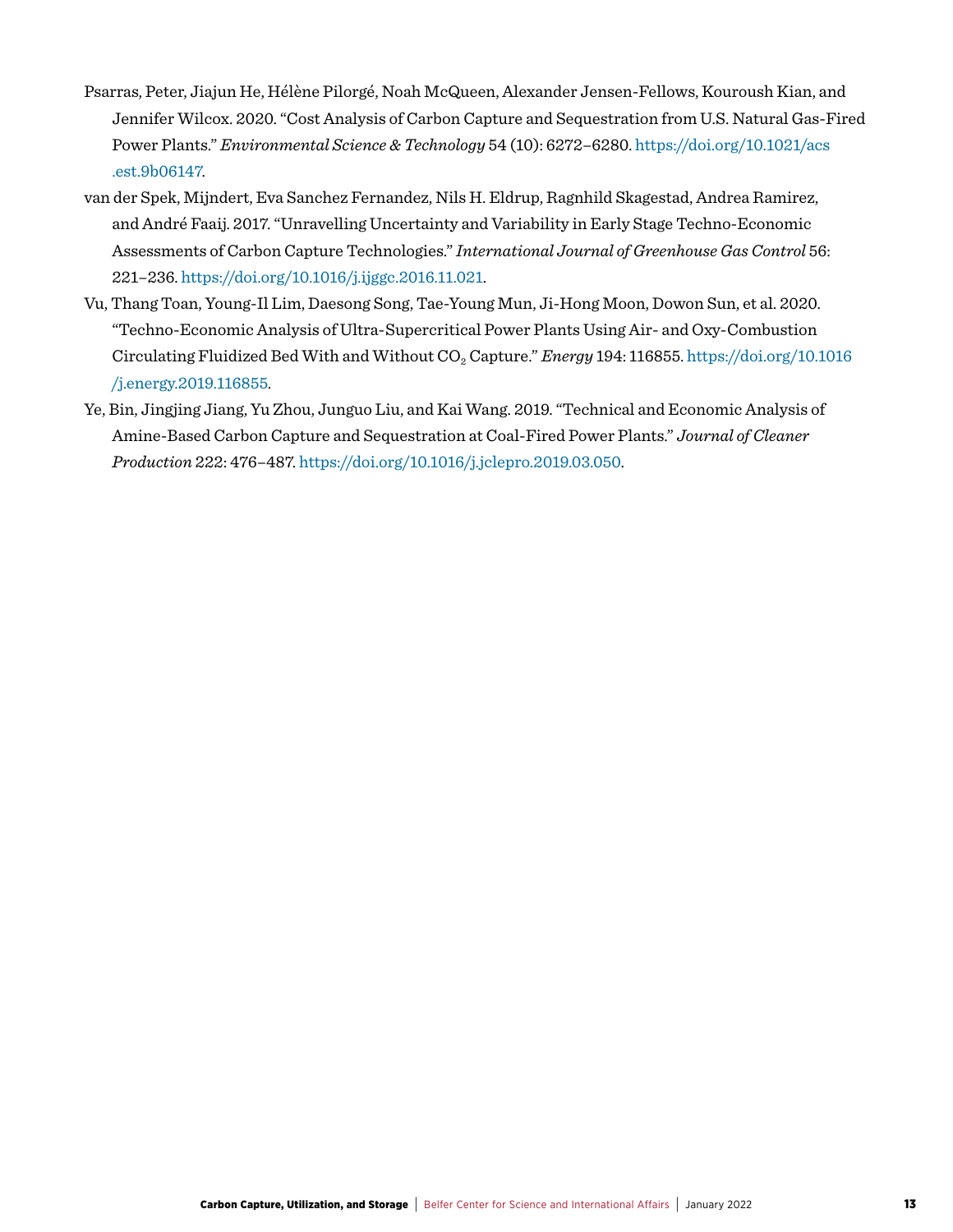- Psarras, Peter, Jiajun He, Hélène Pilorgé, Noah McQueen, Alexander Jensen-Fellows, Kouroush Kian, and Jennifer Wilcox. 2020. "Cost Analysis of Carbon Capture and Sequestration from U.S. Natural Gas-Fired Power Plants." *Environmental Science & Technology* 54 (10): 6272–6280. [https://doi.org/10.1021/acs](https://doi.org/10.1021/acs.est.9b06147) [.est.9b06147.](https://doi.org/10.1021/acs.est.9b06147)
- van der Spek, Mijndert, Eva Sanchez Fernandez, Nils H. Eldrup, Ragnhild Skagestad, Andrea Ramirez, and André Faaij. 2017. "Unravelling Uncertainty and Variability in Early Stage Techno-Economic Assessments of Carbon Capture Technologies." *International Journal of Greenhouse Gas Control* 56: 221–236.<https://doi.org/10.1016/j.ijggc.2016.11.021>.
- Vu, Thang Toan, Young-Il Lim, Daesong Song, Tae-Young Mun, Ji-Hong Moon, Dowon Sun, et al. 2020. "Techno-Economic Analysis of Ultra-Supercritical Power Plants Using Air- and Oxy-Combustion Circulating Fluidized Bed With and Without CO2 Capture." *Energy* 194: 116855. [https://doi.org/10.1016](https://doi.org/10.1016/j.energy.2019.116855) [/j.energy.2019.116855](https://doi.org/10.1016/j.energy.2019.116855).
- Ye, Bin, Jingjing Jiang, Yu Zhou, Junguo Liu, and Kai Wang. 2019. "Technical and Economic Analysis of Amine-Based Carbon Capture and Sequestration at Coal-Fired Power Plants." *Journal of Cleaner Production* 222: 476–487. [https://doi.org/10.1016/j.jclepro.2019.03.050.](https://doi.org/10.1016/j.jclepro.2019.03.050)